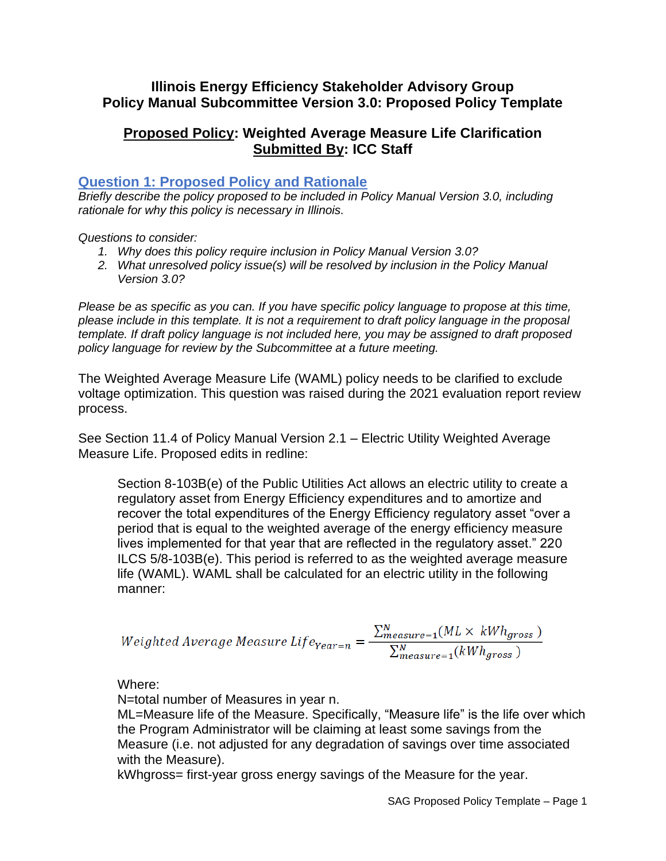## **Illinois Energy Efficiency Stakeholder Advisory Group Policy Manual Subcommittee Version 3.0: Proposed Policy Template**

# **Proposed Policy: Weighted Average Measure Life Clarification Submitted By: ICC Staff**

## **Question 1: Proposed Policy and Rationale**

*Briefly describe the policy proposed to be included in Policy Manual Version 3.0, including rationale for why this policy is necessary in Illinois.* 

*Questions to consider:* 

- *1. Why does this policy require inclusion in Policy Manual Version 3.0?*
- *2. What unresolved policy issue(s) will be resolved by inclusion in the Policy Manual Version 3.0?*

*Please be as specific as you can. If you have specific policy language to propose at this time, please include in this template. It is not a requirement to draft policy language in the proposal template. If draft policy language is not included here, you may be assigned to draft proposed policy language for review by the Subcommittee at a future meeting.*

The Weighted Average Measure Life (WAML) policy needs to be clarified to exclude voltage optimization. This question was raised during the 2021 evaluation report review process.

See Section 11.4 of Policy Manual Version 2.1 – Electric Utility Weighted Average Measure Life. Proposed edits in redline:

Section 8-103B(e) of the Public Utilities Act allows an electric utility to create a regulatory asset from Energy Efficiency expenditures and to amortize and recover the total expenditures of the Energy Efficiency regulatory asset "over a period that is equal to the weighted average of the energy efficiency measure lives implemented for that year that are reflected in the regulatory asset." 220 ILCS 5/8-103B(e). This period is referred to as the weighted average measure life (WAML). WAML shall be calculated for an electric utility in the following manner:

$$
Weighted Average Measure Life_{Year=n} = \frac{\sum_{measure=1}^{N}(ML \times kWh_{gross})}{\sum_{measure=1}^{N}(kWh_{gross})}
$$

Where:

N=total number of Measures in year n.

ML=Measure life of the Measure. Specifically, "Measure life" is the life over which the Program Administrator will be claiming at least some savings from the Measure (i.e. not adjusted for any degradation of savings over time associated with the Measure).

kWhgross= first-year gross energy savings of the Measure for the year.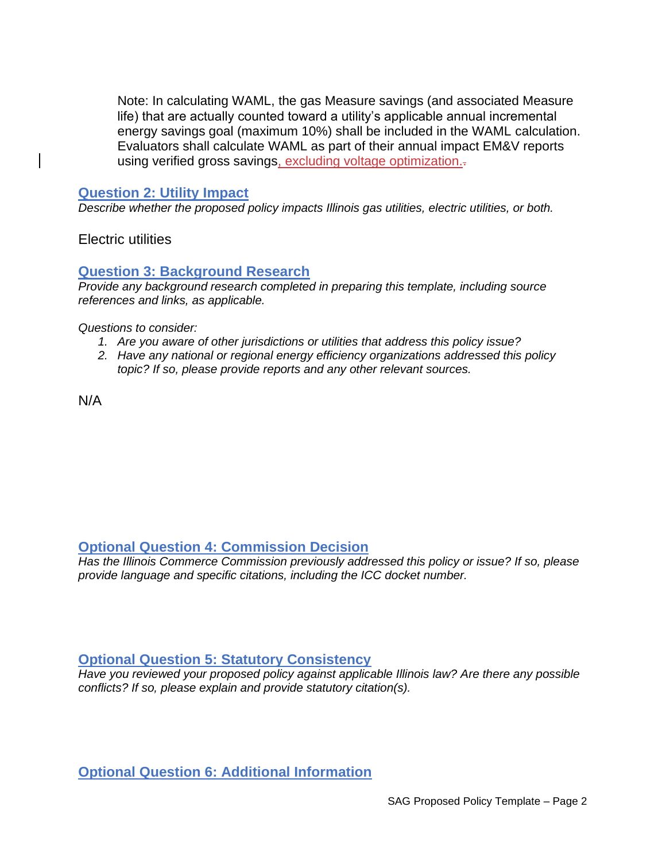Note: In calculating WAML, the gas Measure savings (and associated Measure life) that are actually counted toward a utility's applicable annual incremental energy savings goal (maximum 10%) shall be included in the WAML calculation. Evaluators shall calculate WAML as part of their annual impact EM&V reports using verified gross savings, excluding voltage optimization.

#### **Question 2: Utility Impact**

*Describe whether the proposed policy impacts Illinois gas utilities, electric utilities, or both.* 

Electric utilities

#### **Question 3: Background Research**

*Provide any background research completed in preparing this template, including source references and links, as applicable.* 

*Questions to consider:*

- *1. Are you aware of other jurisdictions or utilities that address this policy issue?*
- *2. Have any national or regional energy efficiency organizations addressed this policy topic? If so, please provide reports and any other relevant sources.*

N/A

## **Optional Question 4: Commission Decision**

*Has the Illinois Commerce Commission previously addressed this policy or issue? If so, please provide language and specific citations, including the ICC docket number.*

### **Optional Question 5: Statutory Consistency**

*Have you reviewed your proposed policy against applicable Illinois law? Are there any possible conflicts? If so, please explain and provide statutory citation(s).*

### **Optional Question 6: Additional Information**